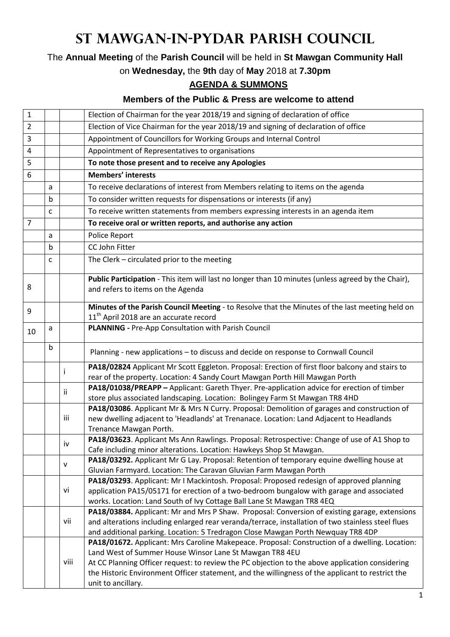## **St Mawgan-in-Pydar Parish Council**

The **Annual Meeting** of the **Parish Council** will be held in **St Mawgan Community Hall**

on **Wednesday,** the **9th** day of **May** 2018 at **7.30pm**

## **AGENDA & SUMMONS**

## **Members of the Public & Press are welcome to attend**

| 1              |   |      | Election of Chairman for the year 2018/19 and signing of declaration of office                                                                                                         |
|----------------|---|------|----------------------------------------------------------------------------------------------------------------------------------------------------------------------------------------|
| 2              |   |      | Election of Vice Chairman for the year 2018/19 and signing of declaration of office                                                                                                    |
| 3              |   |      | Appointment of Councillors for Working Groups and Internal Control                                                                                                                     |
| 4              |   |      | Appointment of Representatives to organisations                                                                                                                                        |
| 5              |   |      | To note those present and to receive any Apologies                                                                                                                                     |
| 6              |   |      | <b>Members' interests</b>                                                                                                                                                              |
|                | a |      | To receive declarations of interest from Members relating to items on the agenda                                                                                                       |
|                | b |      | To consider written requests for dispensations or interests (if any)                                                                                                                   |
|                | C |      | To receive written statements from members expressing interests in an agenda item                                                                                                      |
| $\overline{7}$ |   |      | To receive oral or written reports, and authorise any action                                                                                                                           |
|                | a |      | Police Report                                                                                                                                                                          |
|                | b |      | <b>CC John Fitter</b>                                                                                                                                                                  |
|                | c |      | The Clerk - circulated prior to the meeting                                                                                                                                            |
|                |   |      | Public Participation - This item will last no longer than 10 minutes (unless agreed by the Chair),                                                                                     |
| 8              |   |      | and refers to items on the Agenda                                                                                                                                                      |
| 9              |   |      | Minutes of the Parish Council Meeting - to Resolve that the Minutes of the last meeting held on                                                                                        |
|                |   |      | 11 <sup>th</sup> April 2018 are an accurate record                                                                                                                                     |
| 10             | a |      | <b>PLANNING - Pre-App Consultation with Parish Council</b>                                                                                                                             |
|                | b |      | Planning - new applications - to discuss and decide on response to Cornwall Council                                                                                                    |
|                |   |      | PA18/02824 Applicant Mr Scott Eggleton. Proposal: Erection of first floor balcony and stairs to                                                                                        |
|                |   |      | rear of the property. Location: 4 Sandy Court Mawgan Porth Hill Mawgan Porth                                                                                                           |
|                |   | Ϊİ   | PA18/01038/PREAPP - Applicant: Gareth Thyer. Pre-application advice for erection of timber                                                                                             |
|                |   |      | store plus associated landscaping. Location: Bolingey Farm St Mawgan TR8 4HD                                                                                                           |
|                |   | iii  | PA18/03086. Applicant Mr & Mrs N Curry. Proposal: Demolition of garages and construction of<br>new dwelling adjacent to 'Headlands' at Trenanace. Location: Land Adjacent to Headlands |
|                |   |      | Trenance Mawgan Porth.                                                                                                                                                                 |
|                |   |      | PA18/03623. Applicant Ms Ann Rawlings. Proposal: Retrospective: Change of use of A1 Shop to                                                                                            |
|                |   | iv   | Cafe including minor alterations. Location: Hawkeys Shop St Mawgan.                                                                                                                    |
|                |   | v    | PA18/03292. Applicant Mr G Lay. Proposal: Retention of temporary equine dwelling house at                                                                                              |
|                |   |      | Gluvian Farmyard. Location: The Caravan Gluvian Farm Mawgan Porth                                                                                                                      |
|                |   | vi   | PA18/03293. Applicant: Mr I Mackintosh. Proposal: Proposed redesign of approved planning<br>application PA15/05171 for erection of a two-bedroom bungalow with garage and associated   |
|                |   |      | works. Location: Land South of Ivy Cottage Ball Lane St Mawgan TR8 4EQ                                                                                                                 |
|                |   | vii  | PA18/03884. Applicant: Mr and Mrs P Shaw. Proposal: Conversion of existing garage, extensions                                                                                          |
|                |   |      | and alterations including enlarged rear veranda/terrace, installation of two stainless steel flues                                                                                     |
|                |   |      | and additional parking. Location: 5 Tredragon Close Mawgan Porth Newquay TR8 4DP                                                                                                       |
|                |   |      | PA18/01672. Applicant: Mrs Caroline Makepeace. Proposal: Construction of a dwelling. Location:                                                                                         |
|                |   | viii | Land West of Summer House Winsor Lane St Mawgan TR8 4EU                                                                                                                                |
|                |   |      | At CC Planning Officer request: to review the PC objection to the above application considering                                                                                        |
|                |   |      | the Historic Environment Officer statement, and the willingness of the applicant to restrict the                                                                                       |
|                |   |      | unit to ancillary.                                                                                                                                                                     |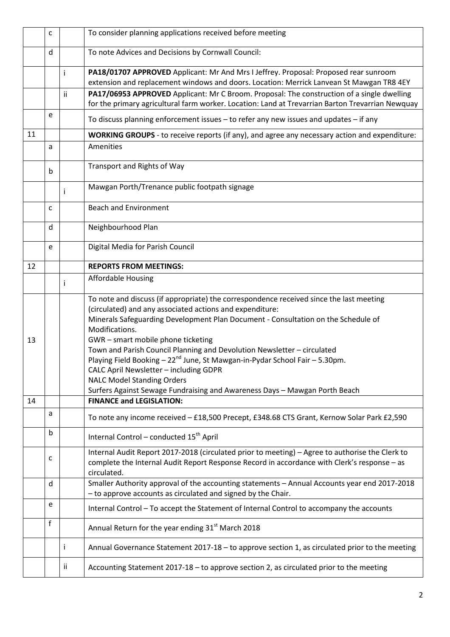|    | C |     | To consider planning applications received before meeting                                                                                                                                                                                                                                                                                                                                                                                                                                                                                                                                                                           |
|----|---|-----|-------------------------------------------------------------------------------------------------------------------------------------------------------------------------------------------------------------------------------------------------------------------------------------------------------------------------------------------------------------------------------------------------------------------------------------------------------------------------------------------------------------------------------------------------------------------------------------------------------------------------------------|
|    | d |     | To note Advices and Decisions by Cornwall Council:                                                                                                                                                                                                                                                                                                                                                                                                                                                                                                                                                                                  |
|    |   | Ť   | PA18/01707 APPROVED Applicant: Mr And Mrs I Jeffrey. Proposal: Proposed rear sunroom<br>extension and replacement windows and doors. Location: Merrick Lanvean St Mawgan TR8 4EY                                                                                                                                                                                                                                                                                                                                                                                                                                                    |
|    |   | ii. | PA17/06953 APPROVED Applicant: Mr C Broom. Proposal: The construction of a single dwelling<br>for the primary agricultural farm worker. Location: Land at Trevarrian Barton Trevarrian Newquay                                                                                                                                                                                                                                                                                                                                                                                                                                      |
|    | e |     | To discuss planning enforcement issues - to refer any new issues and updates - if any                                                                                                                                                                                                                                                                                                                                                                                                                                                                                                                                               |
| 11 |   |     | WORKING GROUPS - to receive reports (if any), and agree any necessary action and expenditure:                                                                                                                                                                                                                                                                                                                                                                                                                                                                                                                                       |
|    | a |     | Amenities                                                                                                                                                                                                                                                                                                                                                                                                                                                                                                                                                                                                                           |
|    | b |     | Transport and Rights of Way                                                                                                                                                                                                                                                                                                                                                                                                                                                                                                                                                                                                         |
|    |   |     | Mawgan Porth/Trenance public footpath signage                                                                                                                                                                                                                                                                                                                                                                                                                                                                                                                                                                                       |
|    | C |     | <b>Beach and Environment</b>                                                                                                                                                                                                                                                                                                                                                                                                                                                                                                                                                                                                        |
|    | d |     | Neighbourhood Plan                                                                                                                                                                                                                                                                                                                                                                                                                                                                                                                                                                                                                  |
|    | e |     | Digital Media for Parish Council                                                                                                                                                                                                                                                                                                                                                                                                                                                                                                                                                                                                    |
| 12 |   |     | <b>REPORTS FROM MEETINGS:</b>                                                                                                                                                                                                                                                                                                                                                                                                                                                                                                                                                                                                       |
|    |   | Ť   | <b>Affordable Housing</b>                                                                                                                                                                                                                                                                                                                                                                                                                                                                                                                                                                                                           |
| 13 |   |     | To note and discuss (if appropriate) the correspondence received since the last meeting<br>(circulated) and any associated actions and expenditure:<br>Minerals Safeguarding Development Plan Document - Consultation on the Schedule of<br>Modifications.<br>GWR - smart mobile phone ticketing<br>Town and Parish Council Planning and Devolution Newsletter - circulated<br>Playing Field Booking - 22 <sup>nd</sup> June, St Mawgan-in-Pydar School Fair - 5.30pm.<br>CALC April Newsletter - including GDPR<br><b>NALC Model Standing Orders</b><br>Surfers Against Sewage Fundraising and Awareness Days - Mawgan Porth Beach |
| 14 |   |     | <b>FINANCE and LEGISLATION:</b>                                                                                                                                                                                                                                                                                                                                                                                                                                                                                                                                                                                                     |
|    | a |     | To note any income received - £18,500 Precept, £348.68 CTS Grant, Kernow Solar Park £2,590                                                                                                                                                                                                                                                                                                                                                                                                                                                                                                                                          |
|    | b |     | Internal Control - conducted 15 <sup>th</sup> April                                                                                                                                                                                                                                                                                                                                                                                                                                                                                                                                                                                 |
|    | c |     | Internal Audit Report 2017-2018 (circulated prior to meeting) - Agree to authorise the Clerk to<br>complete the Internal Audit Report Response Record in accordance with Clerk's response - as<br>circulated.                                                                                                                                                                                                                                                                                                                                                                                                                       |
|    | d |     | Smaller Authority approval of the accounting statements - Annual Accounts year end 2017-2018<br>- to approve accounts as circulated and signed by the Chair.                                                                                                                                                                                                                                                                                                                                                                                                                                                                        |
|    | e |     | Internal Control - To accept the Statement of Internal Control to accompany the accounts                                                                                                                                                                                                                                                                                                                                                                                                                                                                                                                                            |
|    | f |     | Annual Return for the year ending 31 <sup>st</sup> March 2018                                                                                                                                                                                                                                                                                                                                                                                                                                                                                                                                                                       |
|    |   | Ť   | Annual Governance Statement 2017-18 - to approve section 1, as circulated prior to the meeting                                                                                                                                                                                                                                                                                                                                                                                                                                                                                                                                      |
|    |   | ii  | Accounting Statement 2017-18 - to approve section 2, as circulated prior to the meeting                                                                                                                                                                                                                                                                                                                                                                                                                                                                                                                                             |